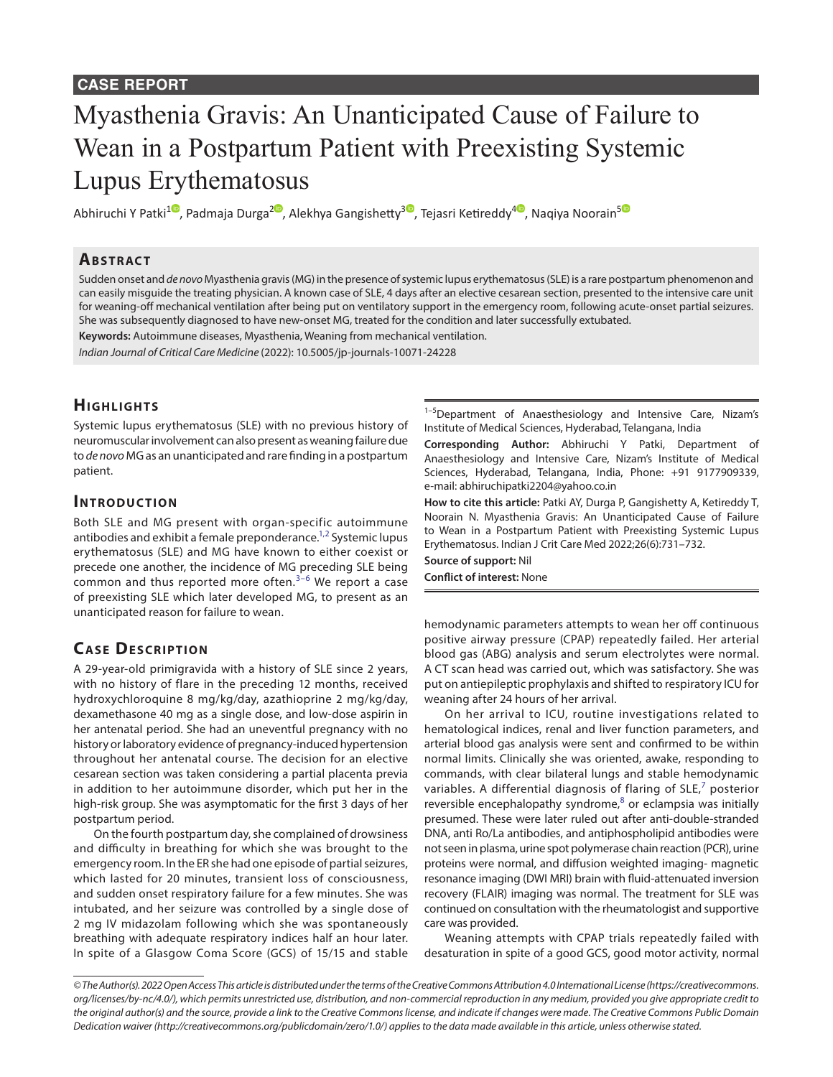# Myasthenia Gravis: An Unanticipated Cause of Failure to Wean in a Postpartum Patient with Preexisting Systemic Lupus Erythematosus

Abhiruchi Y Patki<sup>1</sup>[,](https://orcid.org/0000-0002-2770-0125) Padmaja Durga<sup>20</sup>, Alekhya Gangishetty<sup>[3](https://orcid.org/0000-0001-9106-156X)0</sup>, Tejasri Ketireddy<sup>[4](https://orcid.org/0000-0002-4557-357X)0</sup>, Naqiya Noorain<sup>[5](https://orcid.org/0000-0003-0803-7468)0</sup>

## **ABSTRACT**

Sudden onset and *de novo* Myasthenia gravis (MG) in the presence of systemic lupus erythematosus (SLE) is a rare postpartum phenomenon and can easily misguide the treating physician. A known case of SLE, 4 days after an elective cesarean section, presented to the intensive care unit for weaning-off mechanical ventilation after being put on ventilatory support in the emergency room, following acute-onset partial seizures. She was subsequently diagnosed to have new-onset MG, treated for the condition and later successfully extubated.

**Keywords:** Autoimmune diseases, Myasthenia, Weaning from mechanical ventilation.

*Indian Journal of Critical Care Medicine* (2022): 10.5005/jp-journals-10071-24228

# **HIGHLIGHTS**

Systemic lupus erythematosus (SLE) with no previous history of neuromuscular involvement can also present as weaning failure due to *de novo* MG as an unanticipated and rare finding in a postpartum patient.

## **INTRODUCTION**

Both SLE and MG present with organ-specific autoimmune antibodies and exhibit a female preponderance.<sup>1,[2](#page-1-1)</sup> Systemic lupus erythematosus (SLE) and MG have known to either coexist or precede one another, the incidence of MG preceding SLE being common and thus reported more often. $3-6$  $3-6$  $3-6$  We report a case of preexisting SLE which later developed MG, to present as an unanticipated reason for failure to wean.

# **CASE DESCRIPTION**

A 29-year-old primigravida with a history of SLE since 2 years, with no history of flare in the preceding 12 months, received hydroxychloroquine 8 mg/kg/day, azathioprine 2 mg/kg/day, dexamethasone 40 mg as a single dose, and low-dose aspirin in her antenatal period. She had an uneventful pregnancy with no history or laboratory evidence of pregnancy-induced hypertension throughout her antenatal course. The decision for an elective cesarean section was taken considering a partial placenta previa in addition to her autoimmune disorder, which put her in the high-risk group. She was asymptomatic for the first 3 days of her postpartum period.

On the fourth postpartum day, she complained of drowsiness and difficulty in breathing for which she was brought to the emergency room. In the ER she had one episode of partial seizures, which lasted for 20 minutes, transient loss of consciousness, and sudden onset respiratory failure for a few minutes. She was intubated, and her seizure was controlled by a single dose of 2 mg IV midazolam following which she was spontaneously breathing with adequate respiratory indices half an hour later. In spite of a Glasgow Coma Score (GCS) of 15/15 and stable

 $1-5$ Department of Anaesthesiology and Intensive Care, Nizam's Institute of Medical Sciences, Hyderabad, Telangana, India

**Corresponding Author:** Abhiruchi Y Patki, Department of Anaesthesiology and Intensive Care, Nizam's Institute of Medical Sciences, Hyderabad, Telangana, India, Phone: +91 9177909339, e-mail: abhiruchipatki2204@yahoo.co.in

**How to cite this article:** Patki AY, Durga P, Gangishetty A, Ketireddy T, Noorain N. Myasthenia Gravis: An Unanticipated Cause of Failure to Wean in a Postpartum Patient with Preexisting Systemic Lupus Erythematosus. Indian J Crit Care Med 2022;26(6):731–732.

**Source of support:** Nil **Conflict of interest:** None

hemodynamic parameters attempts to wean her off continuous positive airway pressure (CPAP) repeatedly failed. Her arterial blood gas (ABG) analysis and serum electrolytes were normal. A CT scan head was carried out, which was satisfactory. She was put on antiepileptic prophylaxis and shifted to respiratory ICU for weaning after 24 hours of her arrival.

On her arrival to ICU, routine investigations related to hematological indices, renal and liver function parameters, and arterial blood gas analysis were sent and confirmed to be within normal limits. Clinically she was oriented, awake, responding to commands, with clear bilateral lungs and stable hemodynamic variables. A differential diagnosis of flaring of SLE, $^7$  $^7$  posterior reversible encephalopathy syndrome,<sup>[8](#page-1-5)</sup> or eclampsia was initially presumed. These were later ruled out after anti-double-stranded DNA, anti Ro/La antibodies, and antiphospholipid antibodies were not seen in plasma, urine spot polymerase chain reaction (PCR), urine proteins were normal, and diffusion weighted imaging- magnetic resonance imaging (DWI MRI) brain with fluid-attenuated inversion recovery (FLAIR) imaging was normal. The treatment for SLE was continued on consultation with the rheumatologist and supportive care was provided.

Weaning attempts with CPAP trials repeatedly failed with desaturation in spite of a good GCS, good motor activity, normal

*<sup>©</sup> The Author(s). 2022 Open Access This article is distributed under the terms of the Creative Commons Attribution 4.0 International License ([https://creativecommons.](https://creativecommons.org/licenses/by-nc/4.0/) [org/licenses/by-nc/4.0/](https://creativecommons.org/licenses/by-nc/4.0/)), which permits unrestricted use, distribution, and non-commercial reproduction in any medium, provided you give appropriate credit to the original author(s) and the source, provide a link to the Creative Commons license, and indicate if changes were made. The Creative Commons Public Domain Dedication waiver ([http://creativecommons.org/publicdomain/zero/1.0/\)](http://creativecommons.org/publicdomain/zero/1.0/) applies to the data made available in this article, unless otherwise stated.*